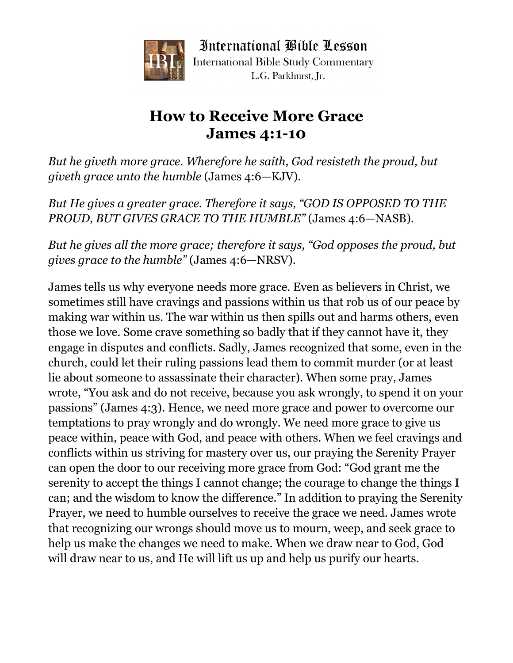

International Bible Lesson **International Bible Study Commentary** L.G. Parkhurst. Ir.

## **How to Receive More Grace James 4:1-10**

*But he giveth more grace. Wherefore he saith, God resisteth the proud, but giveth grace unto the humble* (James 4:6—KJV).

*But He gives a greater grace. Therefore it says, "GOD IS OPPOSED TO THE PROUD, BUT GIVES GRACE TO THE HUMBLE"* (James 4:6—NASB).

*But he gives all the more grace; therefore it says, "God opposes the proud, but gives grace to the humble"* (James 4:6—NRSV).

James tells us why everyone needs more grace. Even as believers in Christ, we sometimes still have cravings and passions within us that rob us of our peace by making war within us. The war within us then spills out and harms others, even those we love. Some crave something so badly that if they cannot have it, they engage in disputes and conflicts. Sadly, James recognized that some, even in the church, could let their ruling passions lead them to commit murder (or at least lie about someone to assassinate their character). When some pray, James wrote, "You ask and do not receive, because you ask wrongly, to spend it on your passions" (James 4:3). Hence, we need more grace and power to overcome our temptations to pray wrongly and do wrongly. We need more grace to give us peace within, peace with God, and peace with others. When we feel cravings and conflicts within us striving for mastery over us, our praying the Serenity Prayer can open the door to our receiving more grace from God: "God grant me the serenity to accept the things I cannot change; the courage to change the things I can; and the wisdom to know the difference." In addition to praying the Serenity Prayer, we need to humble ourselves to receive the grace we need. James wrote that recognizing our wrongs should move us to mourn, weep, and seek grace to help us make the changes we need to make. When we draw near to God, God will draw near to us, and He will lift us up and help us purify our hearts.